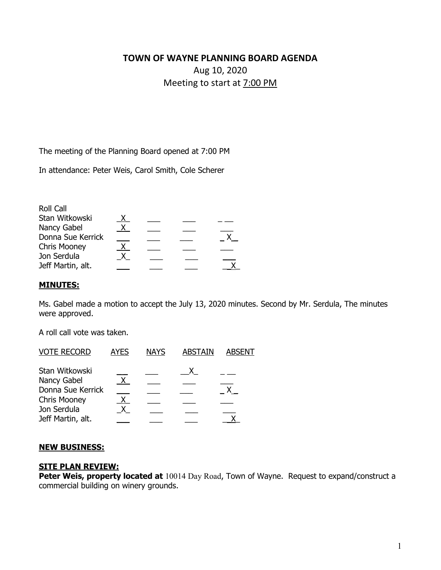# **TOWN OF WAYNE PLANNING BOARD AGENDA**  Aug 10, 2020 Meeting to start at 7:00 PM

The meeting of the Planning Board opened at 7:00 PM

In attendance: Peter Weis, Carol Smith, Cole Scherer

| Roll Call           |              |  |  |
|---------------------|--------------|--|--|
| Stan Witkowski      |              |  |  |
| Nancy Gabel         | $\mathsf{X}$ |  |  |
| Donna Sue Kerrick   |              |  |  |
| <b>Chris Mooney</b> |              |  |  |
| Jon Serdula         |              |  |  |
| Jeff Martin, alt.   |              |  |  |
|                     |              |  |  |

### **MINUTES:**

Ms. Gabel made a motion to accept the July 13, 2020 minutes. Second by Mr. Serdula, The minutes were approved.

A roll call vote was taken.

| <b>VOTE RECORD</b>  | <b>AYES</b> | <b>NAYS</b> | <b>ABSTAIN</b> | <b>ABSENT</b> |
|---------------------|-------------|-------------|----------------|---------------|
| Stan Witkowski      |             |             |                |               |
| Nancy Gabel         |             |             |                |               |
| Donna Sue Kerrick   |             |             |                |               |
| <b>Chris Mooney</b> |             |             |                |               |
| Jon Serdula         |             |             |                |               |
| Jeff Martin, alt.   |             |             |                |               |

#### **NEW BUSINESS:**

#### **SITE PLAN REVIEW:**

**Peter Weis, property located at** 10014 Day Road, Town of Wayne. Request to expand/construct a commercial building on winery grounds.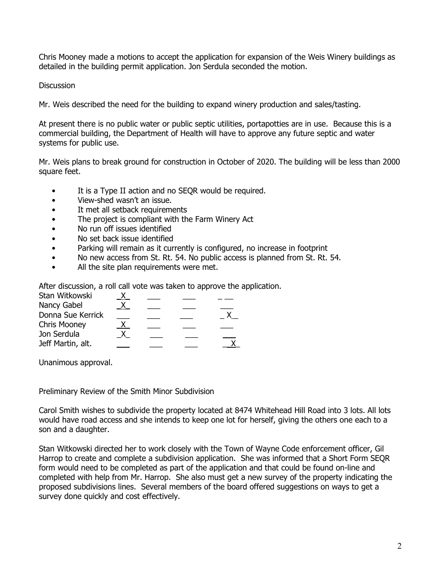Chris Mooney made a motions to accept the application for expansion of the Weis Winery buildings as detailed in the building permit application. Jon Serdula seconded the motion.

**Discussion** 

Mr. Weis described the need for the building to expand winery production and sales/tasting.

At present there is no public water or public septic utilities, portapotties are in use. Because this is a commercial building, the Department of Health will have to approve any future septic and water systems for public use.

Mr. Weis plans to break ground for construction in October of 2020. The building will be less than 2000 square feet.

- It is a Type II action and no SEQR would be required.
- View-shed wasn't an issue.
- It met all setback requirements
- The project is compliant with the Farm Winery Act
- No run off issues identified
- No set back issue identified
- Parking will remain as it currently is configured, no increase in footprint
- No new access from St. Rt. 54. No public access is planned from St. Rt. 54.
- All the site plan requirements were met.

After discussion, a roll call vote was taken to approve the application.

| Stan Witkowski      |  |  |
|---------------------|--|--|
| Nancy Gabel         |  |  |
| Donna Sue Kerrick   |  |  |
| <b>Chris Mooney</b> |  |  |
| Jon Serdula         |  |  |
| Jeff Martin, alt.   |  |  |

Unanimous approval.

Preliminary Review of the Smith Minor Subdivision

Carol Smith wishes to subdivide the property located at 8474 Whitehead Hill Road into 3 lots. All lots would have road access and she intends to keep one lot for herself, giving the others one each to a son and a daughter.

Stan Witkowski directed her to work closely with the Town of Wayne Code enforcement officer, Gil Harrop to create and complete a subdivision application. She was informed that a Short Form SEQR form would need to be completed as part of the application and that could be found on-line and completed with help from Mr. Harrop. She also must get a new survey of the property indicating the proposed subdivisions lines. Several members of the board offered suggestions on ways to get a survey done quickly and cost effectively.